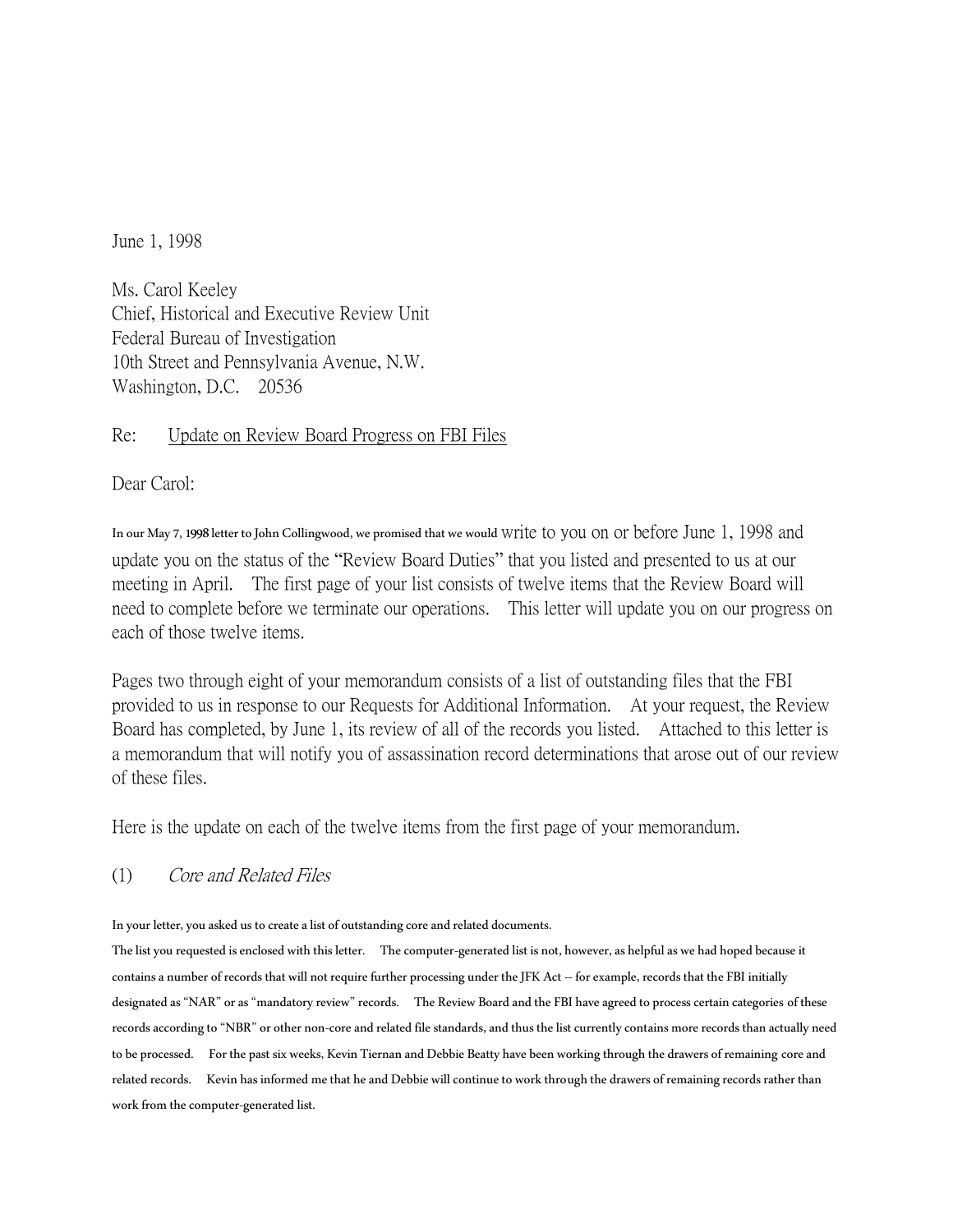June 1, 1998

Ms. Carol Keeley Chief, Historical and Executive Review Unit Federal Bureau of Investigation 10th Street and Pennsylvania Avenue, N.W. Washington, D.C. 20536

#### Re: Update on Review Board Progress on FBI Files

Dear Carol:

In our May 7, 1998 letter to John Collingwood, we promised that we would write to you on or before June 1, 1998 and update you on the status of the "Review Board Duties" that you listed and presented to us at our meeting in April. The first page of your list consists of twelve items that the Review Board will need to complete before we terminate our operations. This letter will update you on our progress on each of those twelve items.

Pages two through eight of your memorandum consists of a list of outstanding files that the FBI provided to us in response to our Requests for Additional Information. At your request, the Review Board has completed, by June 1, its review of all of the records you listed. Attached to this letter is a memorandum that will notify you of assassination record determinations that arose out of our review of these files.

Here is the update on each of the twelve items from the first page of your memorandum.

(1) Core and Related Files

In your letter, you asked us to create a list of outstanding core and related documents.

The list you requested is enclosed with this letter. The computer-generated list is not, however, as helpful as we had hoped because it contains a number of records that will not require further processing under the JFK Act -- for example, records that the FBI initially designated as "NAR" or as "mandatory review" records. The Review Board and the FBI have agreed to process certain categories of these records according to "NBR" or other non-core and related file standards, and thus the list currently contains more records than actually need to be processed. For the past six weeks, Kevin Tiernan and Debbie Beatty have been working through the drawers of remaining core and related records. Kevin has informed me that he and Debbie will continue to work through the drawers of remaining records rather than work from the computer-generated list.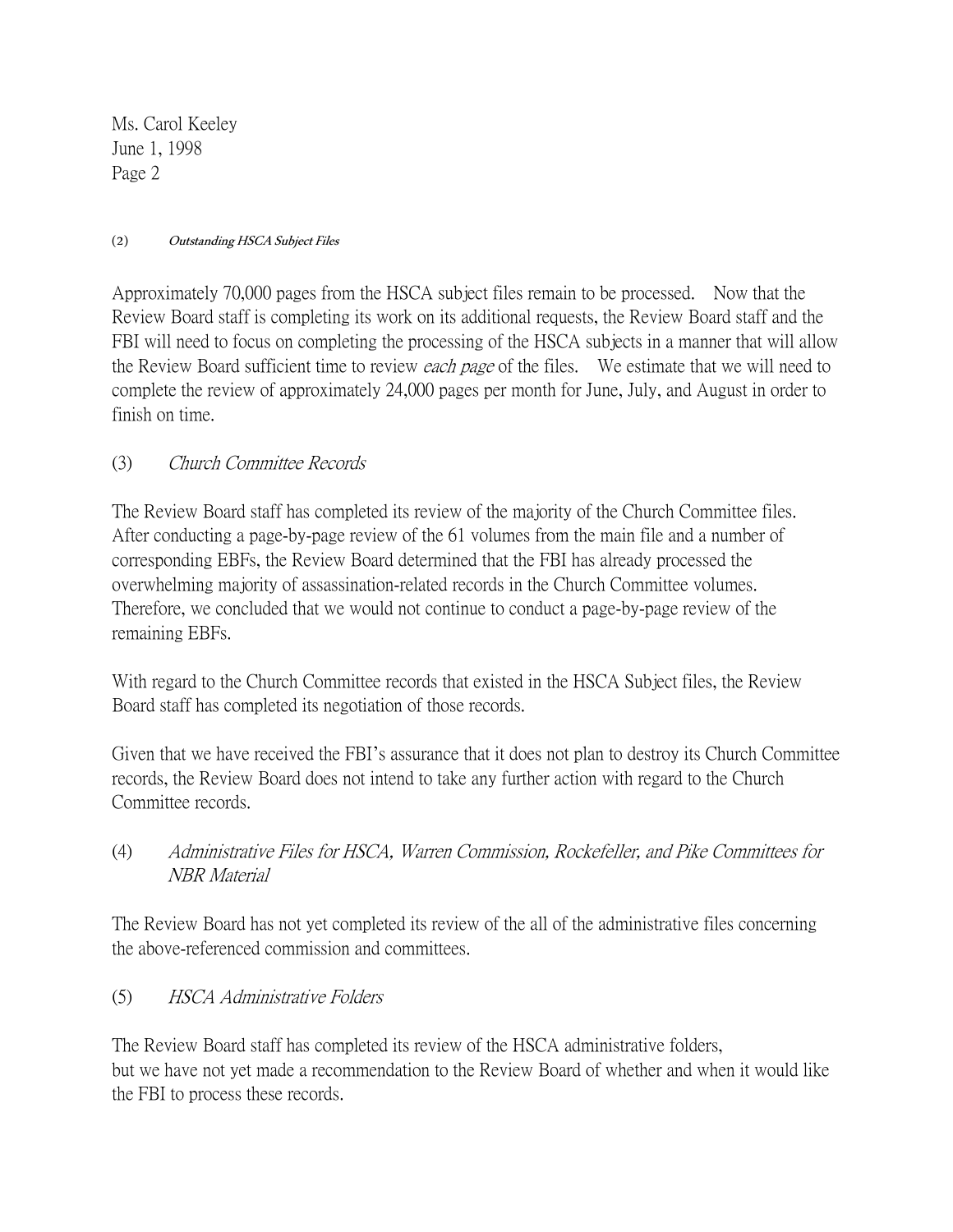#### (2) Outstanding HSCA Subject Files

Approximately 70,000 pages from the HSCA subject files remain to be processed. Now that the Review Board staff is completing its work on its additional requests, the Review Board staff and the FBI will need to focus on completing the processing of the HSCA subjects in a manner that will allow the Review Board sufficient time to review *each page* of the files. We estimate that we will need to complete the review of approximately 24,000 pages per month for June, July, and August in order to finish on time.

# (3) Church Committee Records

The Review Board staff has completed its review of the majority of the Church Committee files. After conducting a page-by-page review of the 61 volumes from the main file and a number of corresponding EBFs, the Review Board determined that the FBI has already processed the overwhelming majority of assassination-related records in the Church Committee volumes. Therefore, we concluded that we would not continue to conduct a page-by-page review of the remaining EBFs.

With regard to the Church Committee records that existed in the HSCA Subject files, the Review Board staff has completed its negotiation of those records.

Given that we have received the FBI's assurance that it does not plan to destroy its Church Committee records, the Review Board does not intend to take any further action with regard to the Church Committee records.

(4) Administrative Files for HSCA, Warren Commission, Rockefeller, and Pike Committees for NBR Material

The Review Board has not yet completed its review of the all of the administrative files concerning the above-referenced commission and committees.

(5) HSCA Administrative Folders

The Review Board staff has completed its review of the HSCA administrative folders, but we have not yet made a recommendation to the Review Board of whether and when it would like the FBI to process these records.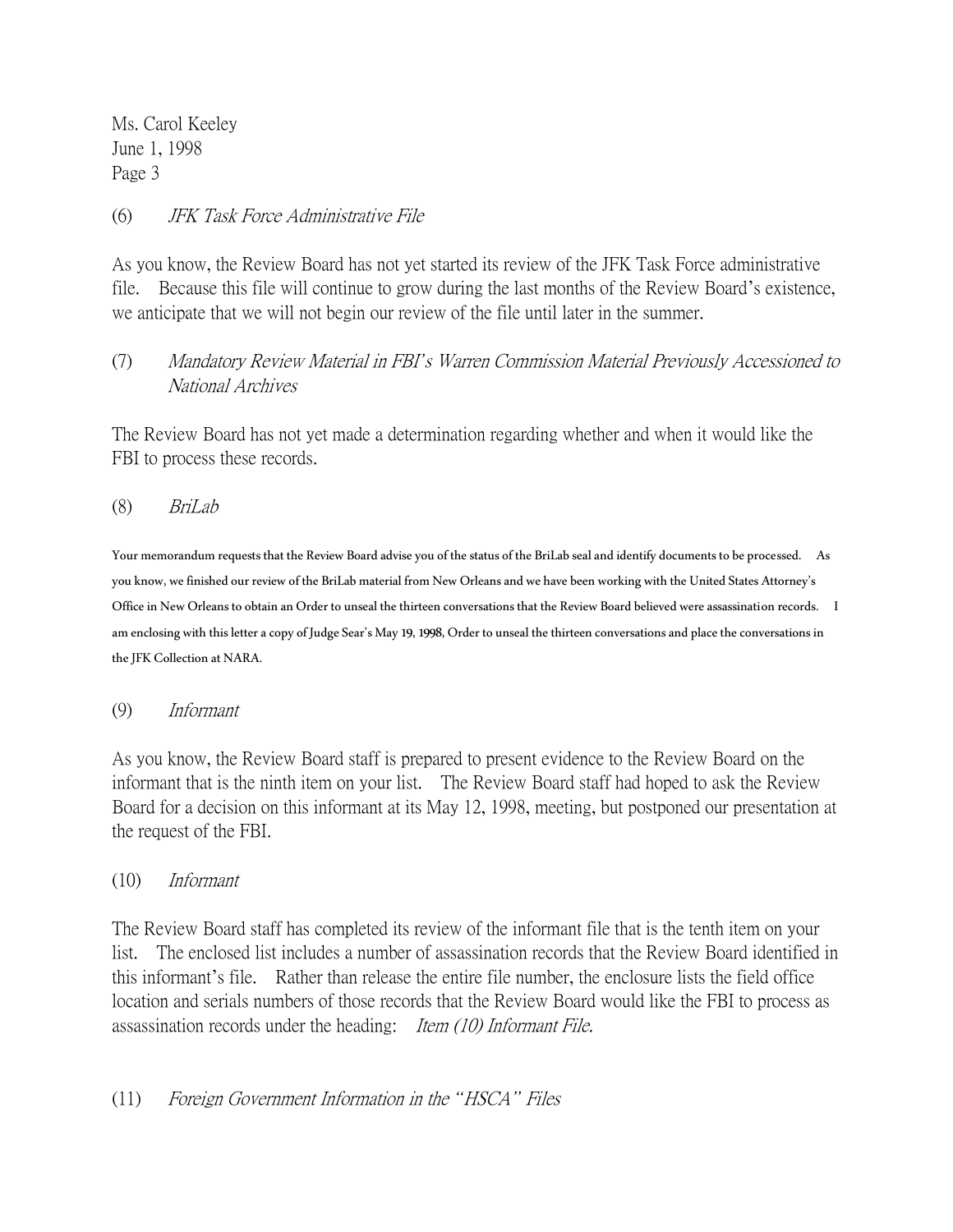# (6) JFK Task Force Administrative File

As you know, the Review Board has not yet started its review of the JFK Task Force administrative file. Because this file will continue to grow during the last months of the Review Board's existence, we anticipate that we will not begin our review of the file until later in the summer.

# (7) Mandatory Review Material in FBI*'*s Warren Commission Material Previously Accessioned to National Archives

The Review Board has not yet made a determination regarding whether and when it would like the FBI to process these records.

(8) BriLab

Your memorandum requests that the Review Board advise you of the status of the BriLab seal and identify documents to be processed. As you know, we finished our review of the BriLab material from New Orleans and we have been working with the United States Attorney's Office in New Orleans to obtain an Order to unseal the thirteen conversations that the Review Board believed were assassination records. I am enclosing with this letter a copy of Judge Sear's May 19, 1998, Order to unseal the thirteen conversations and place the conversations in the JFK Collection at NARA.

(9) Informant

As you know, the Review Board staff is prepared to present evidence to the Review Board on the informant that is the ninth item on your list. The Review Board staff had hoped to ask the Review Board for a decision on this informant at its May 12, 1998, meeting, but postponed our presentation at the request of the FBI.

### (10) Informant

The Review Board staff has completed its review of the informant file that is the tenth item on your list. The enclosed list includes a number of assassination records that the Review Board identified in this informant's file. Rather than release the entire file number, the enclosure lists the field office location and serials numbers of those records that the Review Board would like the FBI to process as assassination records under the heading: Item (10) Informant File.

# (11) Foreign Government Information in the *"*HSCA*"* Files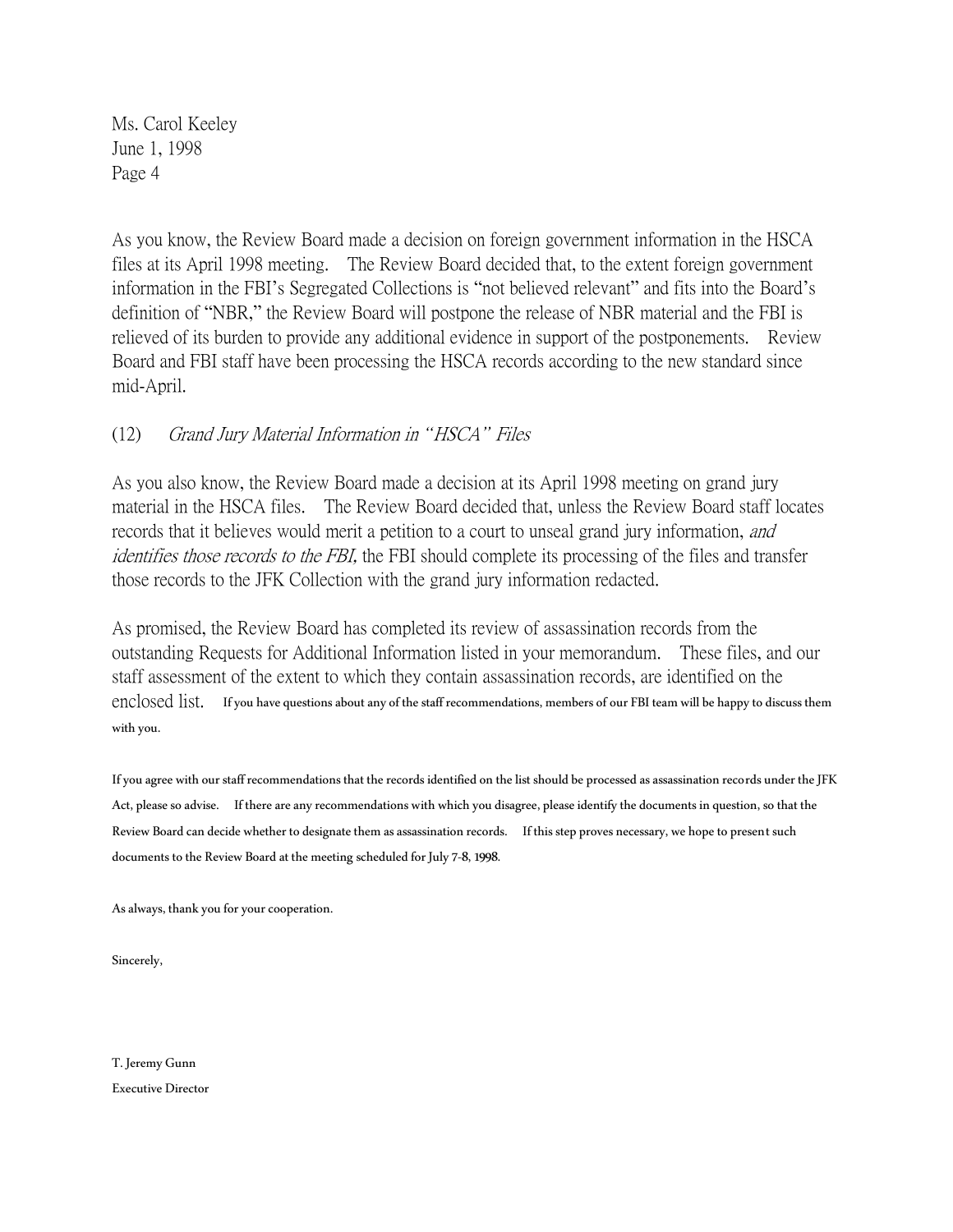As you know, the Review Board made a decision on foreign government information in the HSCA files at its April 1998 meeting. The Review Board decided that, to the extent foreign government information in the FBI's Segregated Collections is "not believed relevant" and fits into the Board's definition of "NBR," the Review Board will postpone the release of NBR material and the FBI is relieved of its burden to provide any additional evidence in support of the postponements. Review Board and FBI staff have been processing the HSCA records according to the new standard since mid-April.

# (12) Grand Jury Material Information in *"*HSCA*"* Files

As you also know, the Review Board made a decision at its April 1998 meeting on grand jury material in the HSCA files. The Review Board decided that, unless the Review Board staff locates records that it believes would merit a petition to a court to unseal grand jury information, and identifies those records to the FBI, the FBI should complete its processing of the files and transfer those records to the JFK Collection with the grand jury information redacted.

As promised, the Review Board has completed its review of assassination records from the outstanding Requests for Additional Information listed in your memorandum. These files, and our staff assessment of the extent to which they contain assassination records, are identified on the enclosed list. If you have questions about any of the staff recommendations, members of our FBI team will be happy to discuss them with you.

If you agree with our staff recommendations that the records identified on the list should be processed as assassination records under the JFK Act, please so advise. If there are any recommendations with which you disagree, please identify the documents in question, so that the Review Board can decide whether to designate them as assassination records. If this step proves necessary, we hope to present such documents to the Review Board at the meeting scheduled for July 7-8, 1998.

As always, thank you for your cooperation.

Sincerely,

T. Jeremy Gunn Executive Director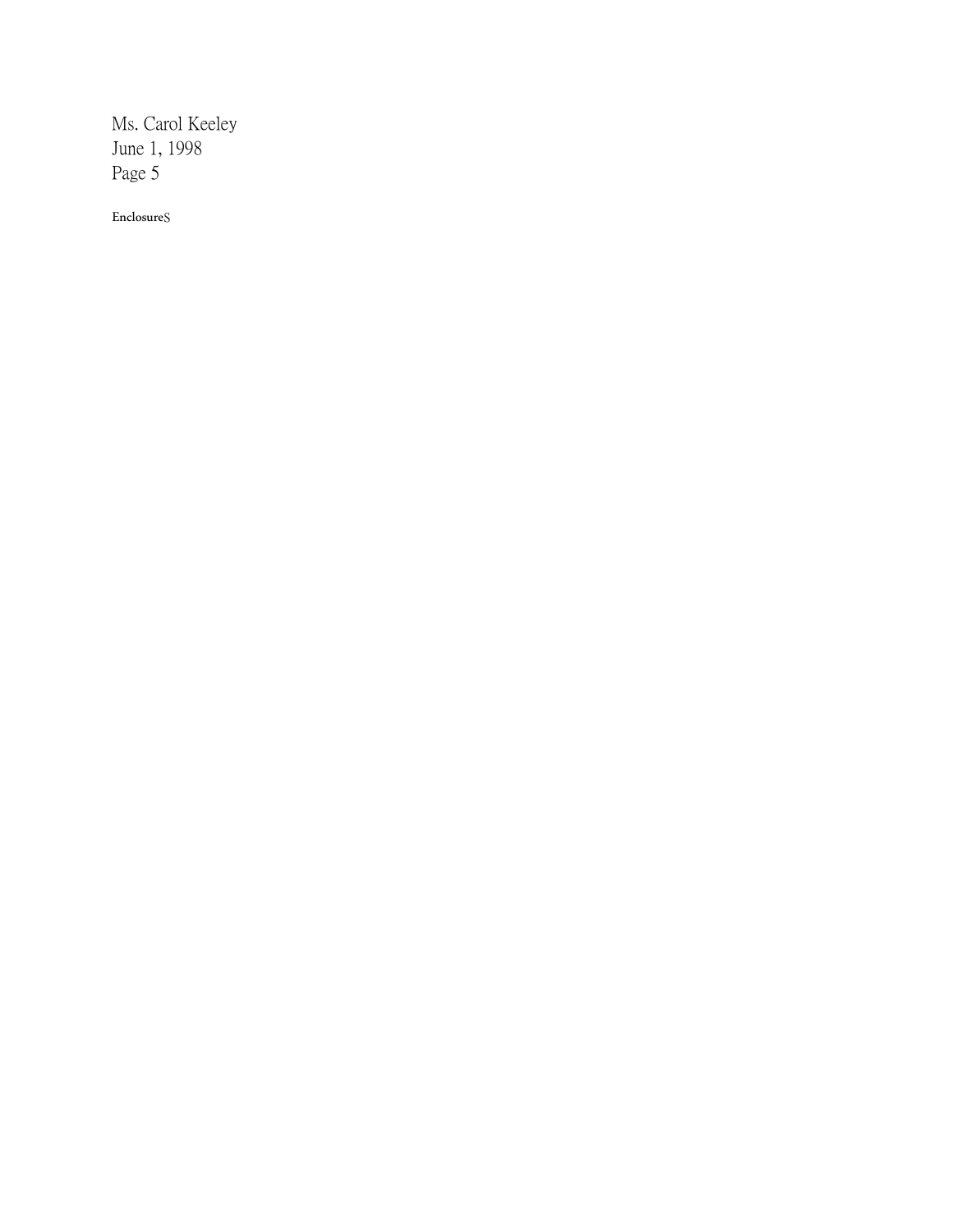Enclosures